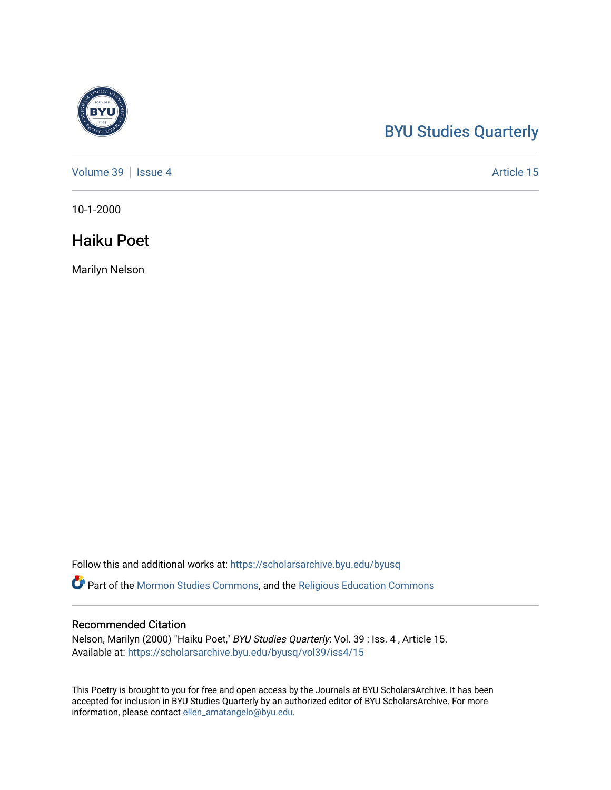## [BYU Studies Quarterly](https://scholarsarchive.byu.edu/byusq)

[Volume 39](https://scholarsarchive.byu.edu/byusq/vol39) | [Issue 4](https://scholarsarchive.byu.edu/byusq/vol39/iss4) Article 15

10-1-2000

### Haiku Poet

Marilyn Nelson

Follow this and additional works at: [https://scholarsarchive.byu.edu/byusq](https://scholarsarchive.byu.edu/byusq?utm_source=scholarsarchive.byu.edu%2Fbyusq%2Fvol39%2Fiss4%2F15&utm_medium=PDF&utm_campaign=PDFCoverPages) 

Part of the [Mormon Studies Commons](http://network.bepress.com/hgg/discipline/1360?utm_source=scholarsarchive.byu.edu%2Fbyusq%2Fvol39%2Fiss4%2F15&utm_medium=PDF&utm_campaign=PDFCoverPages), and the [Religious Education Commons](http://network.bepress.com/hgg/discipline/1414?utm_source=scholarsarchive.byu.edu%2Fbyusq%2Fvol39%2Fiss4%2F15&utm_medium=PDF&utm_campaign=PDFCoverPages) 

#### Recommended Citation

Nelson, Marilyn (2000) "Haiku Poet," BYU Studies Quarterly: Vol. 39 : Iss. 4 , Article 15. Available at: [https://scholarsarchive.byu.edu/byusq/vol39/iss4/15](https://scholarsarchive.byu.edu/byusq/vol39/iss4/15?utm_source=scholarsarchive.byu.edu%2Fbyusq%2Fvol39%2Fiss4%2F15&utm_medium=PDF&utm_campaign=PDFCoverPages) 

This Poetry is brought to you for free and open access by the Journals at BYU ScholarsArchive. It has been accepted for inclusion in BYU Studies Quarterly by an authorized editor of BYU ScholarsArchive. For more information, please contact [ellen\\_amatangelo@byu.edu.](mailto:ellen_amatangelo@byu.edu)